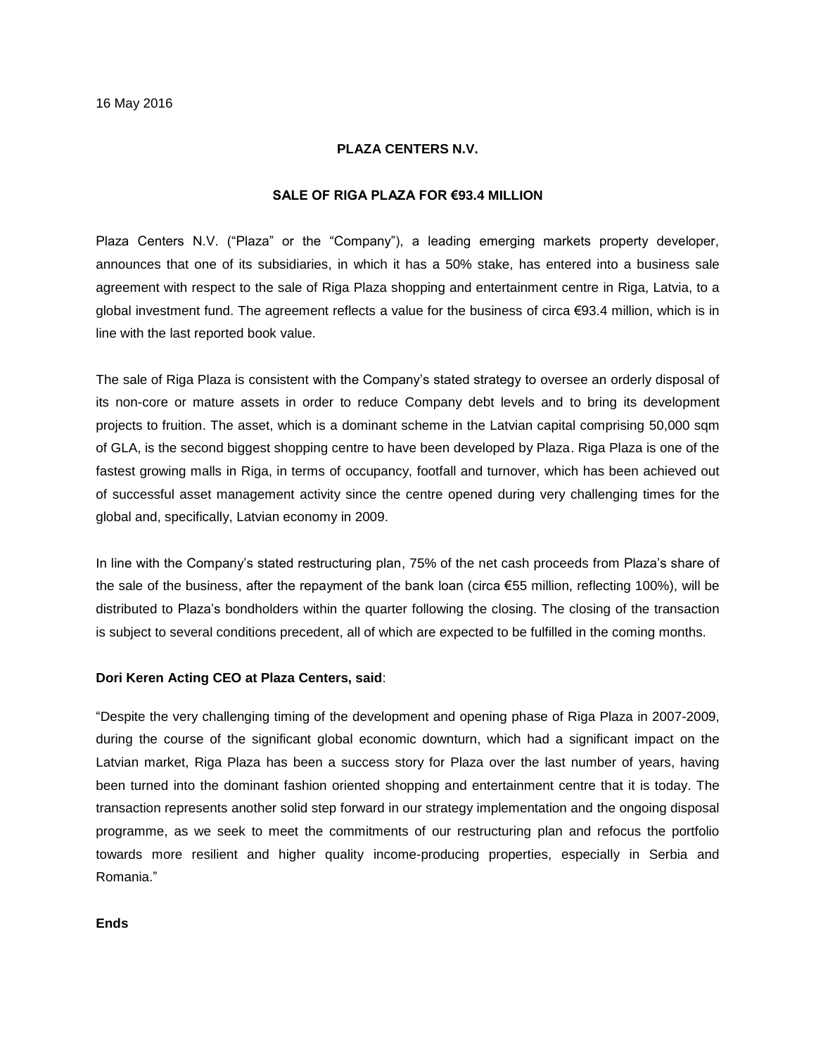## **PLAZA CENTERS N.V.**

## **SALE OF RIGA PLAZA FOR €93.4 MILLION**

Plaza Centers N.V. ("Plaza" or the "Company"), a leading emerging markets property developer, announces that one of its subsidiaries, in which it has a 50% stake, has entered into a business sale agreement with respect to the sale of Riga Plaza shopping and entertainment centre in Riga, Latvia, to a global investment fund. The agreement reflects a value for the business of circa €93.4 million, which is in line with the last reported book value.

The sale of Riga Plaza is consistent with the Company's stated strategy to oversee an orderly disposal of its non-core or mature assets in order to reduce Company debt levels and to bring its development projects to fruition. The asset, which is a dominant scheme in the Latvian capital comprising 50,000 sqm of GLA, is the second biggest shopping centre to have been developed by Plaza. Riga Plaza is one of the fastest growing malls in Riga, in terms of occupancy, footfall and turnover, which has been achieved out of successful asset management activity since the centre opened during very challenging times for the global and, specifically, Latvian economy in 2009.

In line with the Company's stated restructuring plan, 75% of the net cash proceeds from Plaza's share of the sale of the business, after the repayment of the bank loan (circa  $\epsilon$ 55 million, reflecting 100%), will be distributed to Plaza's bondholders within the quarter following the closing. The closing of the transaction is subject to several conditions precedent, all of which are expected to be fulfilled in the coming months.

## **Dori Keren Acting CEO at Plaza Centers, said**:

"Despite the very challenging timing of the development and opening phase of Riga Plaza in 2007-2009, during the course of the significant global economic downturn, which had a significant impact on the Latvian market, Riga Plaza has been a success story for Plaza over the last number of years, having been turned into the dominant fashion oriented shopping and entertainment centre that it is today. The transaction represents another solid step forward in our strategy implementation and the ongoing disposal programme, as we seek to meet the commitments of our restructuring plan and refocus the portfolio towards more resilient and higher quality income-producing properties, especially in Serbia and Romania."

**Ends**